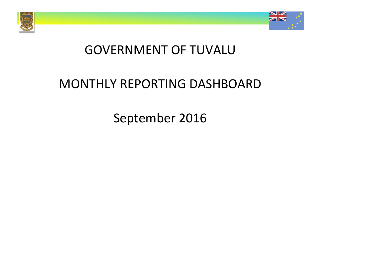



# GOVERNMENT OF TUVALU

# MONTHLY REPORTING DASHBOARD

September 2016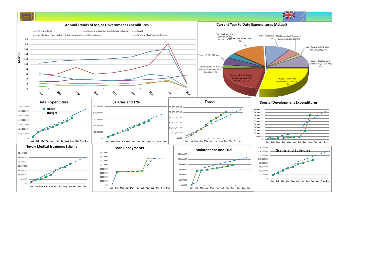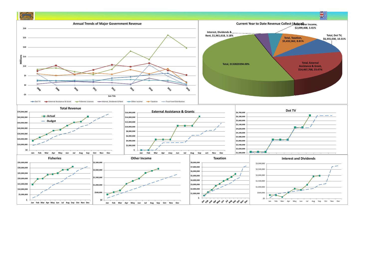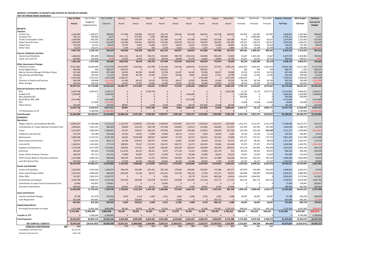#### **MONTHLY STATEMENT OF RECEIPTS AND PAYENTS BY NATURE OF EXPENSE FOR THE PERIOD ENDED 30/09/2016**

| FOR THE PERIOD ENDED 30/09/2016                              | Year to Date           | Year to Date             | Year to Date         | January              | Februar              | March                | April                | May                  | June                  | July                 | August               | September              | October              | November             | December            | <b>Actual + Forecast</b> | 2016 Budget             | Variance             |
|--------------------------------------------------------------|------------------------|--------------------------|----------------------|----------------------|----------------------|----------------------|----------------------|----------------------|-----------------------|----------------------|----------------------|------------------------|----------------------|----------------------|---------------------|--------------------------|-------------------------|----------------------|
|                                                              |                        | Budget &                 |                      |                      |                      |                      |                      |                      |                       |                      |                      |                        |                      |                      |                     |                          |                         | Forecast &           |
|                                                              | Actual                 | Supplementary            | Variance             | Actual               | Actual               | Actual               | Actual               | Actual               | Actual                | Actual               | Actual               | Actual                 | Forecast             | Forecast             | Forecast            | <b>Full Year</b>         | <b>Full Year</b>        | <b>Budget</b>        |
| <b>RECEIPTS</b>                                              |                        |                          |                      |                      |                      |                      |                      |                      |                       |                      |                      |                        |                      |                      |                     |                          |                         |                      |
| <b>Taxation</b>                                              |                        |                          |                      |                      |                      |                      |                      |                      |                       |                      |                      |                        |                      |                      |                     |                          |                         |                      |
| Income Tax                                                   | 1.505.064              | 1.196.972                | 308.09               | 177.406              | 159.806              | 142.531              | 155.170              | 158,546              | 201.900               | 166,652              | 142,108              | 200.945                | 132.997              | 132.997              | 132,997             | 1.904.055                | 1.595.963               | 308.09               |
| Company Tax<br><b>Tuvalu Consumption Taxes</b>               | 706,121<br>1,094,040   | 700,000<br>842,587       | 6,121<br>251,453     | $\Omega$<br>124,500  | 317,561<br>124,029   | 3,194<br>111,132     | 385,366<br>111,049   | $\Omega$<br>112,781  | $\Omega$<br>107,966   | $\Omega$<br>124,643  | $\Omega$<br>141,660  | $\Omega$<br>136,280    | $\Omega$<br>93,621   | 2,000,000<br>93,621  | 93,62               | 2,706,121<br>1,374,903   | 2,700,000<br>1,123,450  | 6,121<br>251,453     |
| Import Duty & Excise                                         | 1,485,092              | 1,174,693                | 310.39               | 125,289              | 149.012              | 189.818              | 155,780              | 158,109              | 201,132               | 105,874              | 194.593              | 205,485                | 130,521              | 130,521              | 130,52              | 1,876,656                | 1,566,257               | 310.39               |
| Import Levy                                                  | 124.193                | 95.522                   | 28.67                | 13,270               | 9.563                | 15.360               | 12.671               | 14.619               | 14.414                | 13,444               | 12,008               | 18.843                 | 10.614               | 10.614               | 10.614              | 156,033                  | 127,363                 | 28,670               |
| Other Taxes                                                  | 33.253                 | 150.375                  | 117.12               | 3.194                | 3.137                | 500                  | 2.100                | 6.623                | 3.210                 | 1.253                | 7.437                | 5.800                  | 16.708               | 16.708               | 16.70               | 83,378                   | 200,500                 | (117.12)             |
| <b>Interest. Dividends and Rent</b>                          | 4,947,764              | 4,160,150                | 787,614              | 443,660              | 763,108              | 462,535              | 822,135              | 450,677              | 528,623               | 411,866              | 497,806              | 567,353                | 384,461              | 2,384,461            | 384,461             | 8,101,147                | 7,313,533               | 787,614              |
| <b>Interest and Dividends</b>                                | 1,668,816              | 965,000                  | 703,816              | (261, 151)           | 18,119               | 203,373              | 422,849              | 290,709              | (154, 154)            | 418,948              | 694,220              | 35,903                 | 51,667               | 1,435,529            | 51,667              | 3,207,678                | 2,503,862               | 703,816              |
| Lease, rent and hire                                         | 292.802                | 292,958                  |                      | 52,452               | 8.559                | 42,420               | 49.749               | 28,640               | 51.778                | 19.645               | 18.854               | 20,706                 | 32.55                | 32,551               | 32,551              | 390,455                  | 390.611                 |                      |
|                                                              | 1,961,618              | 1.257.958                | 703,660              | (208, 700)           | 26.678               | 245,793              | 472.598              | 319.349              | (102, 376)            | 438,593              | 713.074              | 56,609                 | 84.218               | 1,468,080            | 84,218              | 3,598,133                | 2,894,473               | 703,660              |
| <b>Other Government Charges</b><br><b>Fisheries Licenses</b> | 31,812,803             | 23,638,099               | 8,174,704            | 14,674,907           | 5,162,816            | 421,999              | 3,722,466            | 524,184              | 1,069,435             | 3,124,754            | 127,047              | 2,985,194              | 4,026,455            | 1,926,455            | 1,926,455           | 39,692,169               | 31,517,465              | 8,174,704            |
| <b>Vessel Registrations</b>                                  | 684.484                | 938                      | 683,54               | 203,170              | $\Omega$             | $\Omega$             | 243.262              | $\Omega$             | $\Omega$              | 238,052              | $\mathbf{0}$         | $\Omega$               | 104                  | 104                  | 104                 | 684,797                  | 1,250                   | 683,547              |
| Marine Services (Nivaga II & Manu Folau)                     | 507,548                | 300,000                  | 207.54               | 62,691               | 66.596               | 49.994               | 62.798               | 63,407               | 44,140                | 35,358               | 68.557               | 54,008                 | 33.333               | 33,333               | 33.333              | 607,548                  | 400,000                 | 207.548              |
| Stevedoring and Wharfage                                     | 254.662                | 193.500                  | 61.162               | 29.556               | 30,139               | 27,585               | 37.071               | 64,466               | 8,867                 | 19.239               | 17.951               | 19.789                 | 21.500               | 21,500               | 21,500              | 319.162                  | 258,000                 | 61.162               |
| .7V                                                          | 6,355,030              | 4,753,521                | 1,601,50             | 1,628,217            | $\mathbf{0}$         | $\mathbf{0}$         | 1,580,000            | $\overline{0}$       | $\mathbf{0}$          | 1,591,468            | $\mathbf{0}$         | 1,555,344              | 1.584.507            | $\circ$              |                     | 7,939,537                | 6,338,028               | 1,601,508            |
| Provision of Goods and Services<br>Other Charges             | 409,304<br>243,410     | 528,698<br>310,231       | (119.39)             | 61,430               | 40,132<br>17,927     | 19.553<br>13,681     | 79,720               | 36,617<br>24.622     | 32,059<br>81,766      | 60,444<br>16.499     | 23,044<br>30,801     | 56,305                 | 58,744<br>34,470     | 58,744<br>34,470     | 58,744<br>34,470    | 585,536<br>346,820       | 704,930<br>413,641      | (119.39<br>56.82     |
|                                                              | 40,267,241             | 29,724,986               | 10,542,254           | 24,207<br>16,684,177 | 5,317,609            | 532,812              | 21,309<br>5,746,627  | 713,295              | 1,236,266             | 5,085,814            | 267,400              | 12,599<br>4,683,239    | 5,759,114            | 2,074,607            | 2,074,607           | 50,175,569               | 39,633,315              | 10,542,254           |
| <b>External Assistance and Grants</b>                        |                        |                          |                      |                      |                      |                      |                      |                      |                       |                      |                      |                        |                      |                      |                     |                          |                         |                      |
| <b>ROC</b>                                                   | 8,497,938              | 6,293,427                | 2,204,51             | 0                    | $\mathbf{0}$         | 4,539,740            | $\mathbf{0}$         | $\Omega$             | $\Omega$              | $\mathfrak{c}$       | $\mathbf 0$          | 3,958,198              | 21,127               | 21,127               | 3,072,771           | 11,612,962               | 9,408,451               | 2,204,511            |
| AusAID (CIF)<br>New Zealand (CIF)                            | 1,500,000              | n<br>$\Omega$            | 1,500,000            | $\Omega$<br>$\Omega$ | $\Omega$<br>$\Omega$ | $\Omega$<br>$\Omega$ | $\Omega$<br>$\Omega$ | $\Omega$<br>$\Omega$ | 1,500,000<br>$\Omega$ | $\Omega$<br>$\Omega$ | $\Omega$<br>$\Omega$ | $\Omega$<br>$\Omega$   | 1.500.000<br>500,000 | $\Omega$<br>$\Omega$ |                     | 3.000.000<br>500,000     | 1,500,000<br>500,000    | 1,500,000            |
| World Bank, IMF, ADB                                         | 4,313,486              | $\mathbf 0$              | 4,313,486            | $\overline{0}$       |                      | $\overline{0}$       | $\mathbf{0}$         | $\mathbf 0$          | 4,313,486             | $\mathbf 0$          | $\mathbf{0}$         | $\overline{0}$         | $^{\circ}$           | $\mathbf 0$          |                     | 4.313.486                | $^{\circ}$              | 4.313.486            |
| <b>PDF</b>                                                   |                        | 117,000                  | (117.00)             | n                    | $\Omega$             | n                    | $\Omega$             | $\Omega$             | $\cap$                | n                    | $\Omega$             | $\Omega$               | 13,000               | 13,000               | 13,000              | 39,000                   | 156,000                 | (117.000             |
| Other Donors                                                 | 156,344                |                          | 156,34               | 48,967               |                      | 7.440                | 2.618                | 6.864                | 69,476                | (23, 426)            | 15,608               | 28,796                 |                      |                      |                     | 156,344                  |                         | 156,344              |
|                                                              | 14,467,768             | 6,410,427                | 8,057,341            | 48,967               | $\Omega$             | 4,547,180            | 2,618                | 6,864                | 5,882,962             | (23, 426)            | 15,608               | 3,986,994              | 2,034,127            | 34,127               | 3,085,771           | 19,621,792               | 11,564,451              | 8,057,341            |
| <b>TTF Distribution to CIF</b>                               | $\Omega$               | 4,780,000                | (4.780.00)           | $\Omega$             | $\Omega$             | $\Omega$             | $\Omega$             | $\Omega$             | $\Omega$              | $\sqrt{ }$           | $\Omega$             | $\Omega$               | $\Omega$             | $\Omega$             |                     | $\Omega$                 | 4,780,000               | (4.780.00            |
| <b>Total Receipts</b><br><b>PAYMENTS</b>                     | 61,644,390             | 46,333,521               | 15,310,869           | 16,968,104           | 6.107.396            | 5,788,320            | 7.043.977            | 1.490.186            | 7.545.475             | 5.912.846            | 1,493,889            | 9,294,196              | 8,261,920            | 5,961,275            | 5,629,057           | 81,496,641               | 66,185,772              | 15,310,869           |
| <b>Operations</b>                                            |                        |                          |                      |                      |                      |                      |                      |                      |                       |                      |                      |                        |                      |                      |                     |                          |                         |                      |
| Wages, Salaries, and Employee Benefits                       | 12,805,267             | 17,928,488               | 5,123,222            | 1,155,075            | 1,348,582            | 1,322,462            | 1,409,005            | 1,303,385            | 1,927,174             | 1,324,554            | 1,161,072            | 1,853,959              | 1,531,273            | 1,531,273            | 1,531,273           | 17,399,086               | 18,375,277              | 976,191              |
| Contributions to Tuvalu National Provident Fund              | 1,096,832              | 1,581,241                | 484.409              | 90,840               | 115,470              | 105.528              | 112.338              | 104.695              | 174,515               | 114,585              | 106.609              | 172,253                | 132.395              | 132,395              | 132,395             | 1,494,018                | 1,588,743               | 94,725               |
| Travel                                                       | 2,521,827              | 3,580,309                | 1,058,481            | 63,797               | 218,522              | 336,528              | 247,838              | 443,878              | 359,286               | 255,823              | 328,628              | 267,528                | 233,249              | 233,249              | 233,249             | 3,221,575                | 2,798,990               | (422,585             |
| Telephone and Internet                                       | 114,574                | 219,780                  | 105,206              | 14,232               | 13,901               | 17,089               | 13,483               | 18,212               | 11,911                | 4,439                | 16,026               | 5,281                  | 15,234               | 15,234               | 15,234              | 160,276                  | 182,807                 | 22,531               |
| Maintenance                                                  | 5,980,348              | 9,110,142                | 3,129,794            | 66,502               | 5,076,948            | 108.932              | 120,865              | 57,704               |                       | 135,013              | 237,263              |                        | 273,715              |                      | 273,715             | 6,801,493                | 9,313,580               | 2,512,088            |
| <b>Advertising and Provisions</b>                            | 769,471                | 1,161,643                | 392,172              | 42,248               | 102,923              | 169,371              | 47,901               | 91,867               | 83,312<br>81,942      | 56,419               | 81,525               | 93,808<br>95,275       | 105,167              | 273,715<br>98,355    | 98,355              | 1,071,347                | 1,187,071               | 115,724              |
| Fuel and Oil                                                 | 1,168,541              | 1,345,665                | 177.12               | 198,832              | 73,637               | 117.231              | 156,135              | 160,715              | 93,175                | 134,520              | 92.666               | 141,630                | 97,475               | 97,475               | 97,475              | 1,460,966                | 1,169,701               | (291.26)             |
|                                                              | 1,723,558              | 3,977,359                | 2,253,801            | 239,492              | 157,552              | 94,307               | 198,305              | 169,629              | 260,324               | 164.698              | 190.329              | 248,923                | 332,124              | 261,994              | 249,349             | 2,567,025                | 3,032,149               | 465,124              |
| Supplies and Equipment<br>Electricity                        | 446,622                | 920.660                  | 474.03               | (11, 873)            | 46,253               | 80,701               | 9,555                | 177,153              | 17,232                | 24,940               | 101,749              | 913                    | 80,541               |                      | 80,541              | 688,246                  | 966,495                 | 278,249              |
|                                                              |                        |                          |                      |                      |                      |                      |                      |                      |                       |                      |                      |                        |                      | 80,541               |                     |                          |                         |                      |
| Senior Citizen Scheme / Pension                              | 296,019                | 437,721                  | 141,702              | 37,860               | 47,867               | 24,677               | 25,389               | 25,142               | 24,388                | 55,848               | 28,619               | 26,229                 | 31,823               | 31,823               | 31,823              | 391,489                  | 417,678                 | 26,189               |
| TMTS (Tuvalu Medical Treatment Scheme)                       | 2,233,386              | 3,082,294                | 848,908              | 196,336              | 256,450              | 51,252               | 270.955              | 192.959              | 562,740               | 256,737              | 127.688              | 318,268                | 250,333<br>62.227    | 250,333              | 250,333             | 2,984,386                | 3,004,000               | 19,614               |
| Land & Property Rent                                         | 976,939<br>30,133,384  | 1,140,171<br>44.485.473  | 163,232<br>14.352.08 | 27,029<br>2.120.369  | 26,540<br>484.646    | 746,015<br>3.174.092 | 25,842<br>2.637.611  | 46,320<br>2.791.659  | 37,069<br>3.633.066   | 28,359<br>2.555.934  | 7,478<br>2.479.652   | 32,287<br>3.256.354    | 3.145.558            | 32,227<br>3.038.616  | 32,227<br>3.025.970 | 1,103,621<br>39.343.527  | 1,132,516<br>43,169,007 | 28,894<br>3.825.480  |
| <b>Grants and Subsidies</b>                                  |                        |                          |                      |                      |                      |                      |                      |                      |                       |                      |                      |                        |                      |                      |                     |                          |                         |                      |
| <b>Grants and Subsidies</b>                                  | 3,263,993              | 4,470,026                | 1,206,03             | 394,244              | 292,006              | 623,181              | 295,149              | 170,926              | 290,891               | 595,835              | 172,586              | 429,177                | 247,879              | 342,699              | 554,055             | 4,408,626                | 4,455,671               | 47,045               |
| Outer Island Projects (SDE)                                  | 2,373,615              | 2,880,000                | 506,385              | 644,560              | 41,536               | 84,512               | 421,241              | 123,794              | 700,230               | 17,540               | 251,171              | 89,031                 | 240,000              | 240,000              | 240,000             | 3,093,615                | 2,880,000               | (213, 615)           |
| Other SDEs                                                   | 767,627                | 3,290,374                | 2,522,747            | $\Omega$             | $\Omega$             | $\mathbf{0}$         | (100)                | $\mathbf 0$          | 59,179                | 35,110               | 603,528              | 69,910                 | 1,044,503            | 1,044,503            |                     | 2,856,633                | 3,772,540               | 915,907              |
| Scholarships and Support                                     | 3,392,706              | 5,908,342                | 2,515,63             | 591,644              | 630,482              | 437,958              | 521,874              | 243,690              | 428,485               | 111,546              | 255,773              | 171,253                | 462,722              | 462,722              | 442,722             | 4,760,872                | 6,042,665               | 1,281,793            |
| Contribution to Japan Grant Counterpart Fund                 | 15,000                 | 293,847                  | 278,847              | $\Omega$             | $\Omega$             | $\Omega$             | 15,000               | $\Omega$             | $\Omega$              | $\Omega$             | $\Omega$             | $\Omega$               | $\Omega$             | $\Omega$             |                     | 15,000                   | 278,847                 | 263,847              |
| <b>Overseas Contributions</b>                                | 490.659                | 900.752                  | 410,093              | 69.581               | 277,029              | 18,133               | 7,640                | 37.173               | 4,009                 | 20,692               | 8.534                | 47.868                 |                      |                      |                     | 490.659                  | 993.592                 | 502.933              |
|                                                              | 10,303,600             | 17,743,341               | 7,439,740            | 1,700,029            | 1,241,054            | 1,163,783            | 1,260,804            | 575,583              | 1,482,794             | 780,723              | 1,291,591            | 807,239                | 1,995,104            | 2,089,924            | 1,236,777           | 15,625,406               | 18,423,315              | 2,797,908            |
| Loans and Interest                                           |                        |                          |                      |                      |                      |                      |                      |                      |                       |                      |                      |                        |                      |                      |                     |                          |                         |                      |
| <b>Interest and Bank Charges</b>                             | 25,768                 | 231,578                  | 205,810              | 2,045                | 4,119                | 4,269                | 2,221                | 1,882                | 4,096                 | 2,270                | 2,382                | 2,486                  | 18,007               | 18,007               | 18,007              | 79,788                   | 260,478                 | 180,690              |
| Loan Repayment                                               | 642,048                | 643,681                  | 1.63                 |                      | 328.893              |                      |                      | 9.400                |                       |                      | 303.755              |                        |                      |                      |                     | 642,048                  | 640,281                 | (1.76)               |
|                                                              | 667,816                | 875,259                  | 207.443              | 2.045                | 333.012              | 4.269                | 2.221                | 11.282               | 4.096                 | 2.270                | 306,137              | 2.486                  | 18.007               | 18.007               | 18.007              | 721,836                  | 900,759                 | 178.923              |
| <b>Capital Expenditures</b>                                  |                        |                          |                      |                      |                      |                      |                      |                      |                       |                      |                      |                        |                      |                      |                     |                          |                         |                      |
| Purchase/construction of assets                              | 4.115.408<br>4,115,408 | 12.981.304<br>12,981,304 | 8.865.8<br>8,865,896 | 94.140<br>94.140     | 38.354<br>38.354     | 81.281<br>81.281     | 51.329<br>51,329     | 31.679<br>31,679     | 81.501<br>81,501      | 55.348<br>55,348     | 976.467<br>976.467   | 2.705.310<br>2,705,310 | 588.424<br>588,424   | 524.219<br>524.219   | 504.21<br>504.218   | 5.732.269<br>5,732,269   | 4.931.662<br>4,931,662  | (800.60)<br>800,607) |
|                                                              |                        |                          |                      |                      |                      |                      |                      |                      |                       |                      |                      |                        |                      |                      |                     |                          |                         |                      |
| <b>Transfer to TTF</b>                                       |                        | 4.780.000                | 4.780.00             | $\Omega$             | $\Omega$             | $\Omega$             | $\Omega$             | $\Omega$             | $\Omega$              | $\Omega$             | $\Omega$             | $\Omega$               | $\Omega$             | $\Omega$             |                     | $\Omega$                 | 4.780.000               | 4.780.000            |
| <b>Total Payments</b>                                        | 45,220,207             | 80.865.376               | 35,645,169           | 3,916,583            | 9.097.064            | 4.423.425            | 3.951.965            | 3.410.203            | 5.201.457             | 3,394,275            | 5,053,847            | 6,771,388              | 5,747,093            | 5,670,766            | 4.784.97            | 61,423,039               | 72,204,743              | 10,781,704           |
| NET SURPLUS / (DEFICIT)                                      | 16,424,182             | (34,531,855)             | 50,956,03            | 13,051,521           | (2,989,669)          | 1,364,895            | 3,092,012            | (1,920,017)          | 2,344,017             | 2,518,572            | (3,559,957)          | 2,522,807              | 2,514,827            | 290,509              | 844,084             | 20,073,602               | (6,018,971)             | 26,092,573           |
| <b>FORECAST CASH POSITION</b><br><b>SM</b>                   | 40.3                   |                          |                      | 37.0                 | 34.0                 | 35.3                 | 38.4                 | 36.5                 | 38.8                  | 41.4                 | 37.8                 | 40.3                   | 42.8                 | 43.1                 | 44.0                |                          |                         |                      |
| Consolidated Investment Fund                                 | 35,276,025             |                          |                      |                      |                      |                      |                      |                      |                       |                      |                      |                        |                      |                      |                     |                          |                         |                      |
| <b>General Current Account</b>                               | 5.051.106              |                          |                      |                      |                      |                      |                      |                      |                       |                      |                      |                        |                      |                      |                     |                          |                         |                      |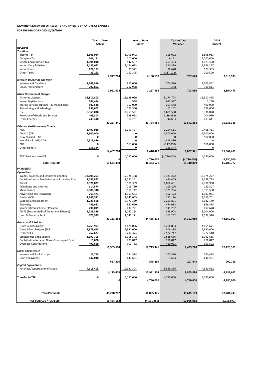## **MONTHLY STATEMENT OF RECEIPTS AND PAYENTS BY NATURE OF EXPENSE**

### **FOR THE PERIOD ENDED 30/09/2016**

|                                                 | <b>Year to Date</b> |            |             | <b>Year to Date</b> | <b>Year to Date</b> |             | 2016          |             |
|-------------------------------------------------|---------------------|------------|-------------|---------------------|---------------------|-------------|---------------|-------------|
|                                                 | Actual              |            |             | <b>Budget</b>       | Variance            |             | <b>Budget</b> |             |
| <b>RECEIPTS</b>                                 |                     |            |             |                     |                     |             |               |             |
| <b>Taxation</b>                                 |                     |            |             |                     |                     |             |               |             |
| Income Tax                                      | 1,505,064           |            | 1,196,972   |                     | 308,092             |             | 1,595,963     |             |
| Company Tax                                     | 706,121             |            | 700,000     |                     | 6,121               |             | 2,700,000     |             |
| <b>Tuvalu Consumption Tax</b>                   | 1,094,040           |            | 842,587     |                     | 251,453             |             | 1,123,450     |             |
| Import Duty & Excise                            | 1,485,092           |            | 1,174,693   |                     | 310,399             |             | 1,566,257     |             |
| Import Levy                                     | 124,193             |            | 95,522      |                     | 28,670              |             | 127,363       |             |
| <b>Other Taxes</b>                              | 33,253              |            | 150,375     |                     | (117, 122)          |             | 200,500       |             |
|                                                 |                     | 4,947,764  |             | 4,160,150           |                     | 787,614     |               | 7,313,533   |
| Interest, Dividends and Rent                    |                     |            |             |                     |                     |             |               |             |
| <b>Interest and Dividends</b>                   | 1,668,816           |            | 965,000     |                     | 703,816             |             | 2,503,862     |             |
| Lease, rent and hire                            | 292,802             |            | 292,958     |                     | (156)               |             | 390,611       |             |
|                                                 |                     | 1,961,618  |             | 1,257,958           |                     | 703,660     |               | 2,894,473   |
| <b>Other Government Charges</b>                 |                     |            |             |                     |                     |             |               |             |
| <b>Fisheries Licenses</b>                       | 31,812,803          |            | 23,638,099  |                     | 8,174,704           |             | 31,517,465    |             |
| <b>Vessel Registrations</b>                     | 684,484             |            | 938         |                     | 683,547             |             | 1,250         |             |
| Marine Services (Nivaga II & Manu Folau)        | 507,548             |            | 300,000     |                     | 207,548             |             | 400,000       |             |
| Stevedoring and Wharfage                        | 254,662             |            | 193,500     |                     | 61,162              |             | 258,000       |             |
| .TV                                             | 6,355,030           |            | 4,753,521   |                     | 1,601,508           |             | 6,338,028     |             |
| Provision of Goods and Services                 | 409,304             |            | 528,698     |                     | (119, 394)          |             | 704,930       |             |
| <b>Other Charges</b>                            | 243,410             |            | 310,231     |                     | (66, 821)           |             | 413,641       |             |
|                                                 |                     | 40,267,241 |             | 29,724,986          |                     | 10,542,254  |               | 39,633,315  |
| <b>External Assistance and Grants</b>           |                     |            |             |                     |                     |             |               |             |
| <b>ROC</b>                                      | 8,497,938           |            | 6,293,427   |                     | 2,204,511           |             | 9.408.451     |             |
| AusAID (CIF)                                    | 1,500,000           |            | 0           |                     | 1,500,000           |             | 1,500,000     |             |
| New Zealand (CIF)                               | 0                   |            | $\mathbf 0$ |                     | $\mathbf{0}$        |             | 500.000       |             |
| World Bank, IMF, ADB                            | 4,313,486           |            | 0           |                     | 4,313,486           |             | 0             |             |
| PDF                                             | 0                   |            | 117,000     |                     |                     |             | 156,000       |             |
| <b>Other Donors</b>                             |                     |            |             |                     | (117,000)           |             |               |             |
|                                                 | 156,344             | 14,467,768 | 0           | 6,410,427           | 156,344             | 8,057,341   | 0             | 11,564,451  |
|                                                 |                     |            |             |                     |                     |             |               |             |
| TTF Distribution to CIF                         | 0                   |            | 4,780,000   |                     | (4,780,000)         |             | 4,780,000     |             |
|                                                 |                     | 0          |             | 4,780,000           |                     | (4,780,000) |               | 4,780,000   |
| <b>Total Receipts</b>                           |                     | 61,644,390 |             | 46,333,521          |                     | 15,310,869  |               | 66,185,772  |
| <b>PAYMENTS</b>                                 |                     |            |             |                     |                     |             |               |             |
| <b>Operations</b>                               |                     |            |             |                     |                     |             |               |             |
| Wages, Salaries, and Employee Benefits          | 12,805,267          |            | 17,928,488  |                     | 5,123,222           |             | 18,375,277    |             |
| Contributions to Tuvalu National Provident Fund | 1,096,832           |            | 1,581,241   |                     | 484,409             |             | 1,588,743     |             |
| Travel                                          | 2,521,827           |            | 3,580,309   |                     | 1,058,481           |             | 2,798,990     |             |
| Telephone and Internet                          | 114,574             |            | 219,780     |                     | 105,206             |             | 182,807       |             |
| Maintenance                                     | 5,980,348           |            | 9,110,142   |                     | 3,129,794           |             | 9,313,580     |             |
| Advertising and Provisions                      | 769,471             |            | 1,161,643   |                     | 392,172             |             | 1,187,071     |             |
| Fuel and Oil                                    | 1,168,541           |            | 1,345,665   |                     | 177,124             |             | 1,169,701     |             |
| Supplies and Equipment                          | 1,723,558           |            | 3,977,359   |                     | 2,253,801           |             | 3,032,149     |             |
| Electricity                                     | 446,622             |            | 920,660     |                     | 474,038             |             | 966,495       |             |
| Senior Citizen Scheme / Pension                 | 296,019             |            | 437,721     |                     | 141,702             |             | 417,678       |             |
| <b>TMTS (Tuvalu Medical Treatment Scheme)</b>   | 2,233,386           |            | 3,082,294   |                     | 848,908             |             | 3,004,000     |             |
| Land & Property Rent                            | 976,939             |            | 1,140,171   |                     | 163,232             |             | 1,132,516     |             |
|                                                 |                     | 30,133,384 |             | 44,485,473          |                     | 14,352,089  |               | 43,169,007  |
| <b>Grants and Subsidies</b>                     |                     |            |             |                     |                     |             |               |             |
| <b>Grants and Subsidies</b>                     | 3,263,993           |            | 4,470,026   |                     | 1,206,033           |             | 4,455,671     |             |
| Outer Island Projects (SDE)                     | 2,373,615           |            | 2,880,000   |                     | 506,385             |             | 2,880,000     |             |
| Other SDEs                                      | 767,627             |            | 3,290,374   |                     | 2,522,747           |             | 3,772,540     |             |
| Scholarships and Support                        | 3,392,706           |            | 5,908,342   |                     | 2,515,636           |             | 6,042,665     |             |
| Contribution to Japan Grant Counterpart Fund    | 15,000              |            | 293,847     |                     | 278,847             |             | 278,847       |             |
| <b>Overseas Contributions</b>                   | 490,659             |            | 900,752     |                     | 410,093             |             | 993,592       |             |
|                                                 |                     | 10,303,600 |             | 17,743,341          |                     | 7,439,740   |               | 18,423,315  |
| <b>Loans and Interest</b>                       |                     |            |             |                     |                     |             |               |             |
| <b>Interest and Bank Charges</b>                | 25,768              |            | 231,578     |                     | 205,810             |             | 260,478       |             |
| Loan Repayment                                  | 642,048             |            | 643,681     |                     | 1,633               |             | 640,281       |             |
|                                                 |                     | 667,816    |             | 875,259             |                     | 207,443     |               | 900,759     |
| <b>Capital Expenditures</b>                     |                     |            |             |                     |                     |             |               |             |
| Purchase/construction of assets                 | 4,115,408           |            | 12,981,304  |                     | 8,865,896           |             | 4,931,662     |             |
|                                                 |                     | 4,115,408  |             | 12,981,304          |                     | 8,865,896   |               | 4,931,662   |
|                                                 |                     |            |             |                     |                     |             |               |             |
| <b>Transfer to TTF</b>                          | 0                   | 0          | 4,780,000   |                     | 4,780,000           |             | 4,780,000     |             |
|                                                 |                     |            |             | 4,780,000           |                     | 4,780,000   |               | 4,780,000   |
|                                                 |                     |            |             |                     |                     |             |               |             |
|                                                 |                     |            |             |                     |                     |             |               |             |
| <b>Total Payments</b>                           |                     | 45,220,207 |             | 80,865,376          |                     | 35,645,169  |               | 72,204,743  |
|                                                 |                     |            |             |                     |                     |             |               |             |
| NET SURPLUS / (DEFECIT)                         |                     | 16,424,182 |             | (34,531,855)        |                     | 50,956,038  |               | (6,018,971) |